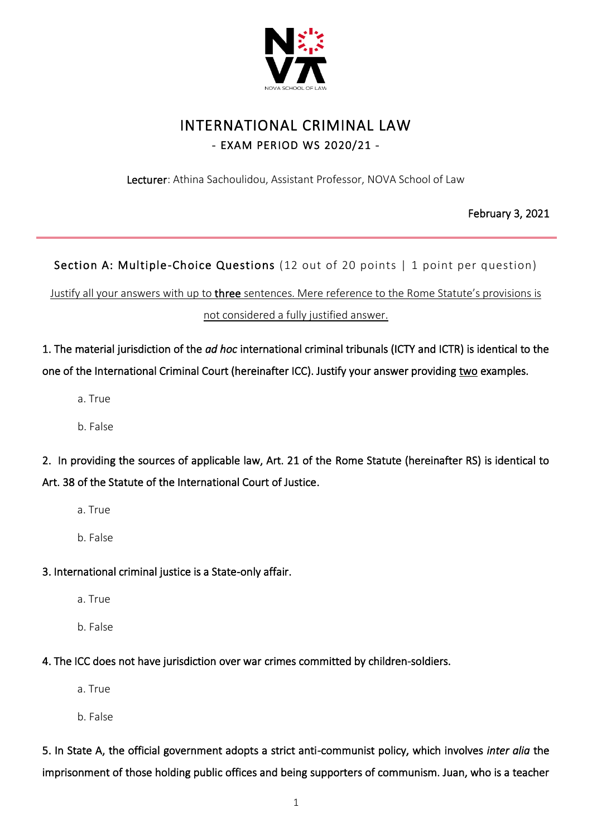

# INTERNATIONAL CRIMINAL LAW - EXAM PERIOD WS 2020/21 -

Lecturer: Athina Sachoulidou, Assistant Professor, NOVA School of Law

February 3, 2021

Section A: Multiple-Choice Questions (12 out of 20 points | 1 point per question)

Justify all your answers with up to three sentences. Mere reference to the Rome Statute's provisions is not considered a fully justified answer.

1. The material jurisdiction of the *ad hoc* international criminal tribunals (ICTY and ICTR) is identical to the one of the International Criminal Court (hereinafter ICC). Justify your answer providing two examples.

- a. True
- b. False

2. In providing the sources of applicable law, Art. 21 of the Rome Statute (hereinafter RS) is identical to Art. 38 of the Statute of the International Court of Justice.

- a. True
- b. False

#### 3. International criminal justice is a State-only affair.

- a. True
- b. False
- 4. The ICC does not have jurisdiction over war crimes committed by children-soldiers.
	- a. True
	- b. False

5. In State A, the official government adopts a strict anti-communist policy, which involves *inter alia* the imprisonment of those holding public offices and being supporters of communism. Juan, who is a teacher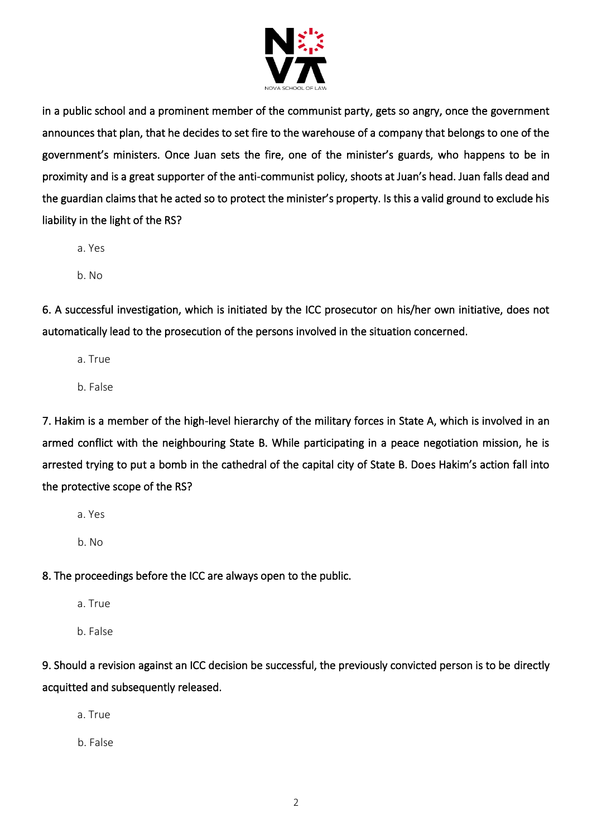

in a public school and a prominent member of the communist party, gets so angry, once the government announces that plan, that he decides to set fire to the warehouse of a company that belongs to one of the government's ministers. Once Juan sets the fire, one of the minister's guards, who happens to be in proximity and is a great supporter of the anti-communist policy, shoots at Juan's head. Juan falls dead and the guardian claims that he acted so to protect the minister's property. Is this a valid ground to exclude his liability in the light of the RS?

- a. Yes
- b. No

6. A successful investigation, which is initiated by the ICC prosecutor on his/her own initiative, does not automatically lead to the prosecution of the persons involved in the situation concerned.

- a. True
- b. False

7. Hakim is a member of the high-level hierarchy of the military forces in State A, which is involved in an armed conflict with the neighbouring State B. While participating in a peace negotiation mission, he is arrested trying to put a bomb in the cathedral of the capital city of State B. Does Hakim's action fall into the protective scope of the RS?

- a. Yes
- b. No

8. The proceedings before the ICC are always open to the public.

- a. True
- b. False

9. Should a revision against an ICC decision be successful, the previously convicted person is to be directly acquitted and subsequently released.

a. True

b. False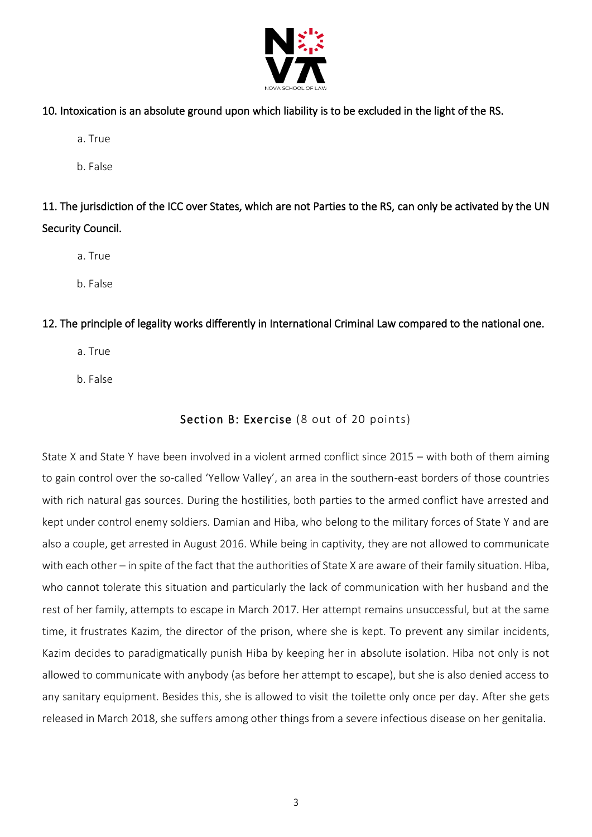

- 10. Intoxication is an absolute ground upon which liability is to be excluded in the light of the RS.
	- a. True
	- b. False

11. The jurisdiction of the ICC over States, which are not Parties to the RS, can only be activated by the UN Security Council.

- a. True
- b. False

#### 12. The principle of legality works differently in International Criminal Law compared to the national one.

- a. True
- b. False

### Section B: Exercise (8 out of 20 points)

State X and State Y have been involved in a violent armed conflict since 2015 – with both of them aiming to gain control over the so-called 'Yellow Valley', an area in the southern-east borders of those countries with rich natural gas sources. During the hostilities, both parties to the armed conflict have arrested and kept under control enemy soldiers. Damian and Hiba, who belong to the military forces of State Y and are also a couple, get arrested in August 2016. While being in captivity, they are not allowed to communicate with each other – in spite of the fact that the authorities of State X are aware of their family situation. Hiba, who cannot tolerate this situation and particularly the lack of communication with her husband and the rest of her family, attempts to escape in March 2017. Her attempt remains unsuccessful, but at the same time, it frustrates Kazim, the director of the prison, where she is kept. To prevent any similar incidents, Kazim decides to paradigmatically punish Hiba by keeping her in absolute isolation. Hiba not only is not allowed to communicate with anybody (as before her attempt to escape), but she is also denied access to any sanitary equipment. Besides this, she is allowed to visit the toilette only once per day. After she gets released in March 2018, she suffers among other things from a severe infectious disease on her genitalia.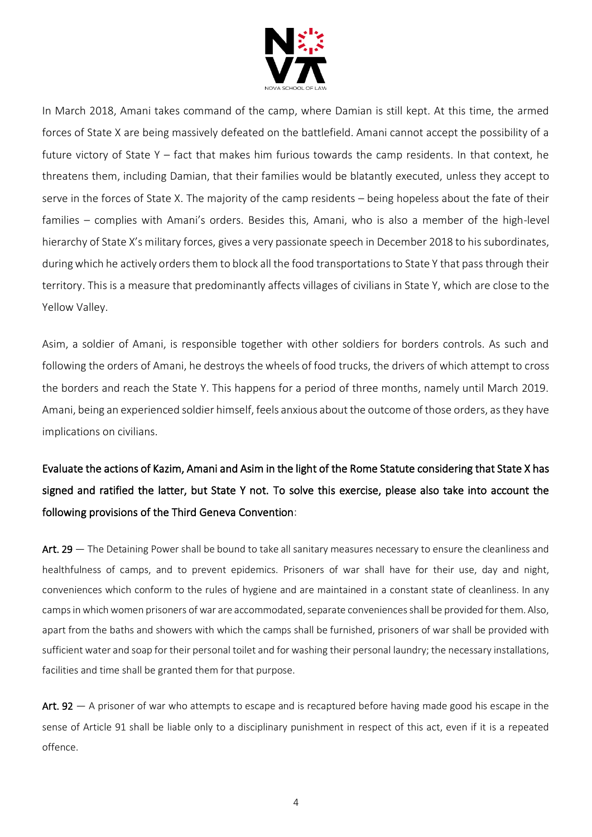

In March 2018, Amani takes command of the camp, where Damian is still kept. At this time, the armed forces of State X are being massively defeated on the battlefield. Amani cannot accept the possibility of a future victory of State Y – fact that makes him furious towards the camp residents. In that context, he threatens them, including Damian, that their families would be blatantly executed, unless they accept to serve in the forces of State X. The majority of the camp residents – being hopeless about the fate of their families – complies with Amani's orders. Besides this, Amani, who is also a member of the high-level hierarchy of State X's military forces, gives a very passionate speech in December 2018 to his subordinates, during which he actively orders them to block all the food transportations to State Y that pass through their territory. This is a measure that predominantly affects villages of civilians in State Y, which are close to the Yellow Valley.

Asim, a soldier of Amani, is responsible together with other soldiers for borders controls. As such and following the orders of Amani, he destroys the wheels of food trucks, the drivers of which attempt to cross the borders and reach the State Y. This happens for a period of three months, namely until March 2019. Amani, being an experienced soldier himself, feels anxious about the outcome of those orders, as they have implications on civilians.

# Evaluate the actions of Kazim, Amani and Asim in the light of the Rome Statute considering that State X has signed and ratified the latter, but State Y not. To solve this exercise, please also take into account the following provisions of the Third Geneva Convention:

Art. 29 — The Detaining Power shall be bound to take all sanitary measures necessary to ensure the cleanliness and healthfulness of camps, and to prevent epidemics. Prisoners of war shall have for their use, day and night, conveniences which conform to the rules of hygiene and are maintained in a constant state of cleanliness. In any camps in which women prisoners of war are accommodated, separate conveniences shall be provided for them. Also, apart from the baths and showers with which the camps shall be furnished, prisoners of war shall be provided with sufficient water and soap for their personal toilet and for washing their personal laundry; the necessary installations, facilities and time shall be granted them for that purpose.

Art.  $92 - A$  prisoner of war who attempts to escape and is recaptured before having made good his escape in the sense of Article 91 shall be liable only to a disciplinary punishment in respect of this act, even if it is a repeated offence.